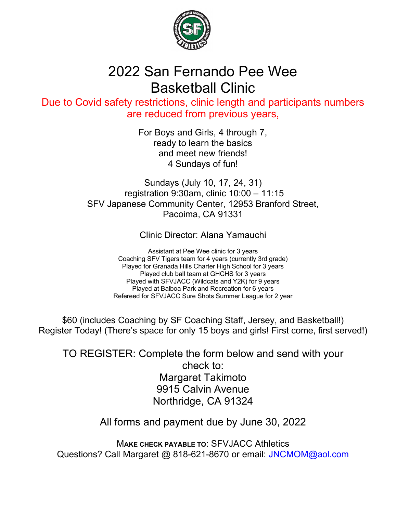

## 2022 San Fernando Pee Wee Basketball Clinic

Due to Covid safety restrictions, clinic length and participants numbers are reduced from previous years,

> For Boys and Girls, 4 through 7, ready to learn the basics and meet new friends! 4 Sundays of fun!

Sundays (July 10, 17, 24, 31) registration 9:30am, clinic 10:00 – 11:15 SFV Japanese Community Center, 12953 Branford Street, Pacoima, CA 91331

Clinic Director: Alana Yamauchi

Assistant at Pee Wee clinic for 3 years Coaching SFV Tigers team for 4 years (currently 3rd grade) Played for Granada Hills Charter High School for 3 years Played club ball team at GHCHS for 3 years Played with SFVJACC (Wildcats and Y2K) for 9 years Played at Balboa Park and Recreation for 6 years Refereed for SFVJACC Sure Shots Summer League for 2 year

\$60 (includes Coaching by SF Coaching Staff, Jersey, and Basketball!) Register Today! (There's space for only 15 boys and girls! First come, first served!)

TO REGISTER: Complete the form below and send with your check to: Margaret Takimoto 9915 Calvin Avenue Northridge, CA 91324

All forms and payment due by June 30, 2022

M**AKE CHECK PAYABLE TO**: SFVJACC Athletics Questions? Call Margaret @ 818-621-8670 or email: JNCMOM@aol.com